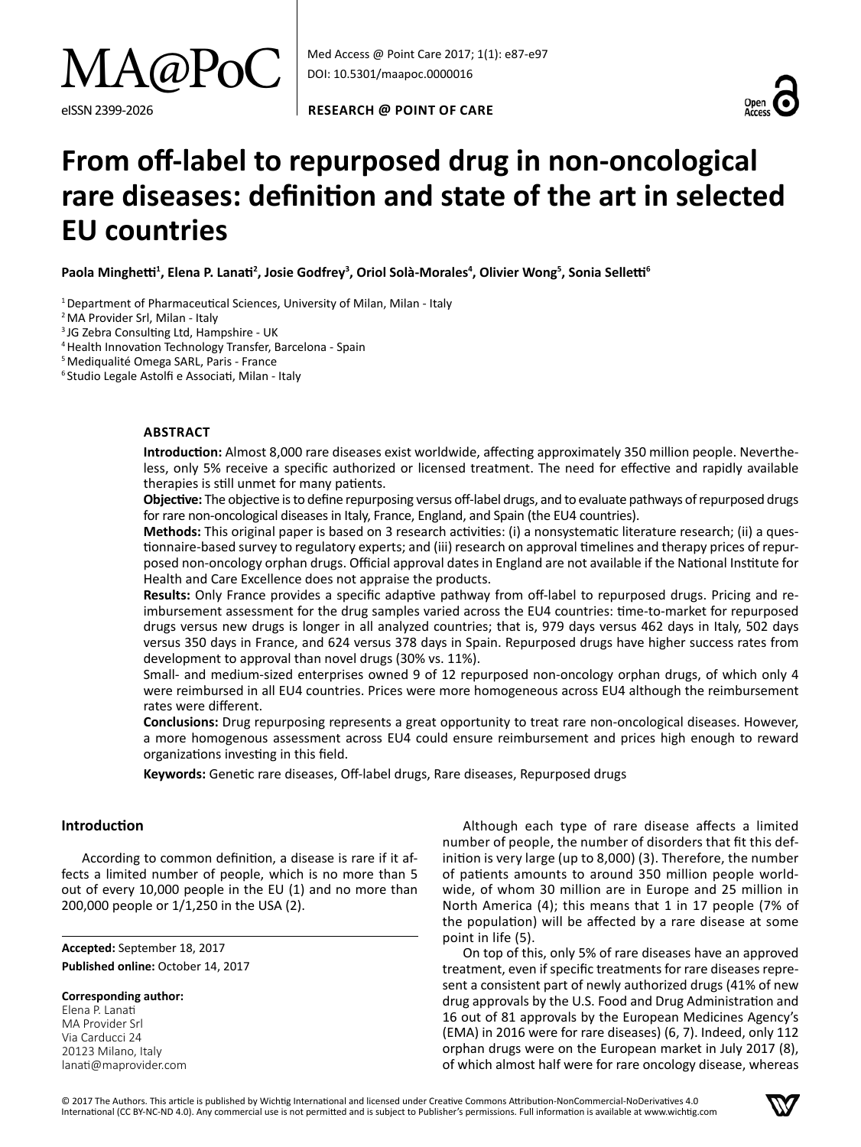

**RESEARCH @ Point of care**



# **From off-label to repurposed drug in non-oncological rare diseases: definition and state of the art in selected EU countries**

**Paola Minghetti<sup>1</sup> , Elena P. Lanati<sup>2</sup> , Josie Godfrey<sup>3</sup> , Oriol Solà-Morales<sup>4</sup> , Olivier Wong<sup>5</sup> , Sonia Selletti<sup>6</sup>**

<sup>1</sup> Department of Pharmaceutical Sciences, University of Milan, Milan - Italy

<sup>2</sup> MA Provider Srl, Milan - Italy

<sup>3</sup> JG Zebra Consulting Ltd, Hampshire - UK

4Health Innovation Technology Transfer, Barcelona - Spain

5Mediqualité Omega SARL, Paris - France

<sup>6</sup> Studio Legale Astolfi e Associati, Milan - Italy

# **Abstract**

**Introduction:** Almost 8,000 rare diseases exist worldwide, affecting approximately 350 million people. Nevertheless, only 5% receive a specific authorized or licensed treatment. The need for effective and rapidly available therapies is still unmet for many patients.

**Objective:** The objective is to define repurposing versus off-label drugs, and to evaluate pathways of repurposed drugs for rare non-oncological diseases in Italy, France, England, and Spain (the EU4 countries).

**Methods:** This original paper is based on 3 research activities: (i) a nonsystematic literature research; (ii) a questionnaire-based survey to regulatory experts; and (iii) research on approval timelines and therapy prices of repurposed non-oncology orphan drugs. Official approval dates in England are not available if the National Institute for Health and Care Excellence does not appraise the products.

**Results:** Only France provides a specific adaptive pathway from off-label to repurposed drugs. Pricing and reimbursement assessment for the drug samples varied across the EU4 countries: time-to-market for repurposed drugs versus new drugs is longer in all analyzed countries; that is, 979 days versus 462 days in Italy, 502 days versus 350 days in France, and 624 versus 378 days in Spain. Repurposed drugs have higher success rates from development to approval than novel drugs (30% vs. 11%).

Small- and medium-sized enterprises owned 9 of 12 repurposed non-oncology orphan drugs, of which only 4 were reimbursed in all EU4 countries. Prices were more homogeneous across EU4 although the reimbursement rates were different.

**Conclusions:** Drug repurposing represents a great opportunity to treat rare non-oncological diseases. However, a more homogenous assessment across EU4 could ensure reimbursement and prices high enough to reward organizations investing in this field.

**Keywords:** Genetic rare diseases, Off-label drugs, Rare diseases, Repurposed drugs

# **Introduction**

According to common definition, a disease is rare if it affects a limited number of people, which is no more than 5 out of every 10,000 people in the EU (1) and no more than 200,000 people or 1/1,250 in the USA (2).

**Accepted:** September 18, 2017 Published online: October 14, 2017

**Corresponding author:**

Elena P. Lanati MA Provider Srl Via Carducci 24 20123 Milano, Italy lanati@maprovider.com

Although each type of rare disease affects a limited number of people, the number of disorders that fit this definition is very large (up to 8,000) (3). Therefore, the number of patients amounts to around 350 million people worldwide, of whom 30 million are in Europe and 25 million in North America (4); this means that 1 in 17 people (7% of the population) will be affected by a rare disease at some point in life (5).

On top of this, only 5% of rare diseases have an approved treatment, even if specific treatments for rare diseases represent a consistent part of newly authorized drugs (41% of new drug approvals by the U.S. Food and Drug Administration and 16 out of 81 approvals by the European Medicines Agency's (EMA) in 2016 were for rare diseases) (6, 7). Indeed, only 112 orphan drugs were on the European market in July 2017 (8), of which almost half were for rare oncology disease, whereas

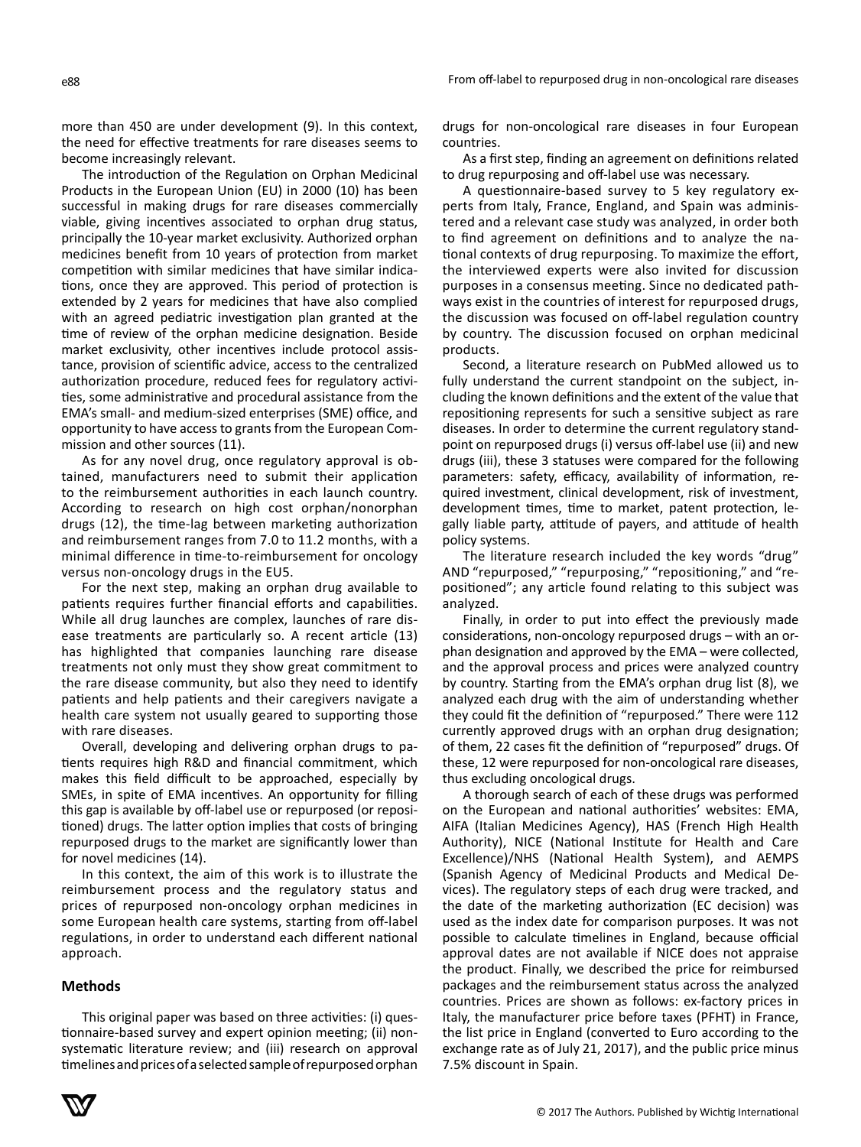more than 450 are under development (9). In this context, the need for effective treatments for rare diseases seems to become increasingly relevant.

The introduction of the Regulation on Orphan Medicinal Products in the European Union (EU) in 2000 (10) has been successful in making drugs for rare diseases commercially viable, giving incentives associated to orphan drug status, principally the 10-year market exclusivity. Authorized orphan medicines benefit from 10 years of protection from market competition with similar medicines that have similar indications, once they are approved. This period of protection is extended by 2 years for medicines that have also complied with an agreed pediatric investigation plan granted at the time of review of the orphan medicine designation. Beside market exclusivity, other incentives include protocol assistance, provision of scientific advice, access to the centralized authorization procedure, reduced fees for regulatory activities, some administrative and procedural assistance from the EMA's small- and medium-sized enterprises (SME) office, and opportunity to have access to grants from the European Commission and other sources (11).

As for any novel drug, once regulatory approval is obtained, manufacturers need to submit their application to the reimbursement authorities in each launch country. According to research on high cost orphan/nonorphan drugs (12), the time-lag between marketing authorization and reimbursement ranges from 7.0 to 11.2 months, with a minimal difference in time-to-reimbursement for oncology versus non-oncology drugs in the EU5.

For the next step, making an orphan drug available to patients requires further financial efforts and capabilities. While all drug launches are complex, launches of rare disease treatments are particularly so. A recent article (13) has highlighted that companies launching rare disease treatments not only must they show great commitment to the rare disease community, but also they need to identify patients and help patients and their caregivers navigate a health care system not usually geared to supporting those with rare diseases.

Overall, developing and delivering orphan drugs to patients requires high R&D and financial commitment, which makes this field difficult to be approached, especially by SMEs, in spite of EMA incentives. An opportunity for filling this gap is available by off-label use or repurposed (or repositioned) drugs. The latter option implies that costs of bringing repurposed drugs to the market are significantly lower than for novel medicines (14).

In this context, the aim of this work is to illustrate the reimbursement process and the regulatory status and prices of repurposed non-oncology orphan medicines in some European health care systems, starting from off-label regulations, in order to understand each different national approach.

# **Methods**

This original paper was based on three activities: (i) questionnaire-based survey and expert opinion meeting; (ii) nonsystematic literature review; and (iii) research on approval timelines and prices of a selected sample of repurposed orphan

drugs for non-oncological rare diseases in four European countries.

As a first step, finding an agreement on definitions related to drug repurposing and off-label use was necessary.

A questionnaire-based survey to 5 key regulatory experts from Italy, France, England, and Spain was administered and a relevant case study was analyzed, in order both to find agreement on definitions and to analyze the national contexts of drug repurposing. To maximize the effort, the interviewed experts were also invited for discussion purposes in a consensus meeting. Since no dedicated pathways exist in the countries of interest for repurposed drugs, the discussion was focused on off-label regulation country by country. The discussion focused on orphan medicinal products.

Second, a literature research on PubMed allowed us to fully understand the current standpoint on the subject, including the known definitions and the extent of the value that repositioning represents for such a sensitive subject as rare diseases. In order to determine the current regulatory standpoint on repurposed drugs (i) versus off-label use (ii) and new drugs (iii), these 3 statuses were compared for the following parameters: safety, efficacy, availability of information, required investment, clinical development, risk of investment, development times, time to market, patent protection, legally liable party, attitude of payers, and attitude of health policy systems.

The literature research included the key words "drug" AND "repurposed," "repurposing," "repositioning," and "repositioned"; any article found relating to this subject was analyzed.

Finally, in order to put into effect the previously made considerations, non-oncology repurposed drugs – with an orphan designation and approved by the EMA – were collected, and the approval process and prices were analyzed country by country. Starting from the EMA's orphan drug list (8), we analyzed each drug with the aim of understanding whether they could fit the definition of "repurposed." There were 112 currently approved drugs with an orphan drug designation; of them, 22 cases fit the definition of "repurposed" drugs. Of these, 12 were repurposed for non-oncological rare diseases, thus excluding oncological drugs.

A thorough search of each of these drugs was performed on the European and national authorities' websites: EMA, AIFA (Italian Medicines Agency), HAS (French High Health Authority), NICE (National Institute for Health and Care Excellence)/NHS (National Health System), and AEMPS (Spanish Agency of Medicinal Products and Medical Devices). The regulatory steps of each drug were tracked, and the date of the marketing authorization (EC decision) was used as the index date for comparison purposes. It was not possible to calculate timelines in England, because official approval dates are not available if NICE does not appraise the product. Finally, we described the price for reimbursed packages and the reimbursement status across the analyzed countries. Prices are shown as follows: ex-factory prices in Italy, the manufacturer price before taxes (PFHT) in France, the list price in England (converted to Euro according to the exchange rate as of July 21, 2017), and the public price minus 7.5% discount in Spain.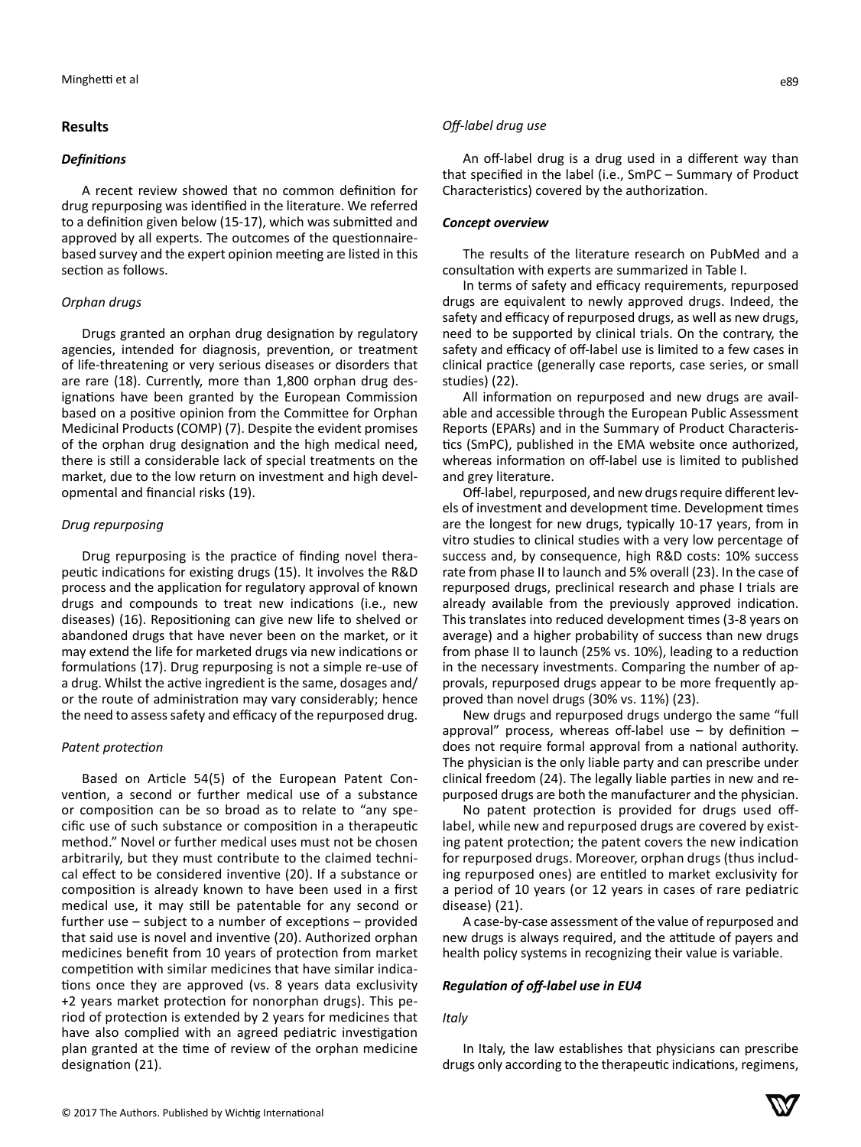# **Results**

### *Definitions*

A recent review showed that no common definition for drug repurposing was identified in the literature. We referred to a definition given below (15-17), which was submitted and approved by all experts. The outcomes of the questionnairebased survey and the expert opinion meeting are listed in this section as follows.

# *Orphan drugs*

Drugs granted an orphan drug designation by regulatory agencies, intended for diagnosis, prevention, or treatment of life-threatening or very serious diseases or disorders that are rare (18). Currently, more than 1,800 orphan drug designations have been granted by the European Commission based on a positive opinion from the Committee for Orphan Medicinal Products (COMP) (7). Despite the evident promises of the orphan drug designation and the high medical need, there is still a considerable lack of special treatments on the market, due to the low return on investment and high developmental and financial risks (19).

# *Drug repurposing*

Drug repurposing is the practice of finding novel therapeutic indications for existing drugs (15). It involves the R&D process and the application for regulatory approval of known drugs and compounds to treat new indications (i.e., new diseases) (16). Repositioning can give new life to shelved or abandoned drugs that have never been on the market, or it may extend the life for marketed drugs via new indications or formulations (17). Drug repurposing is not a simple re-use of a drug. Whilst the active ingredient is the same, dosages and/ or the route of administration may vary considerably; hence the need to assess safety and efficacy of the repurposed drug.

# *Patent protection*

Based on Article 54(5) of the European Patent Convention, a second or further medical use of a substance or composition can be so broad as to relate to "any specific use of such substance or composition in a therapeutic method." Novel or further medical uses must not be chosen arbitrarily, but they must contribute to the claimed technical effect to be considered inventive (20). If a substance or composition is already known to have been used in a first medical use, it may still be patentable for any second or further use – subject to a number of exceptions – provided that said use is novel and inventive (20). Authorized orphan medicines benefit from 10 years of protection from market competition with similar medicines that have similar indications once they are approved (vs. 8 years data exclusivity +2 years market protection for nonorphan drugs). This period of protection is extended by 2 years for medicines that have also complied with an agreed pediatric investigation plan granted at the time of review of the orphan medicine designation (21).

#### *Off-label drug use*

An off-label drug is a drug used in a different way than that specified in the label (i.e., SmPC – Summary of Product Characteristics) covered by the authorization.

#### *Concept overview*

The results of the literature research on PubMed and a consultation with experts are summarized in Table I.

In terms of safety and efficacy requirements, repurposed drugs are equivalent to newly approved drugs. Indeed, the safety and efficacy of repurposed drugs, as well as new drugs, need to be supported by clinical trials. On the contrary, the safety and efficacy of off-label use is limited to a few cases in clinical practice (generally case reports, case series, or small studies) (22).

All information on repurposed and new drugs are available and accessible through the European Public Assessment Reports (EPARs) and in the Summary of Product Characteristics (SmPC), published in the EMA website once authorized, whereas information on off-label use is limited to published and grey literature.

Off-label, repurposed, and new drugs require different levels of investment and development time. Development times are the longest for new drugs, typically 10-17 years, from in vitro studies to clinical studies with a very low percentage of success and, by consequence, high R&D costs: 10% success rate from phase II to launch and 5% overall (23). In the case of repurposed drugs, preclinical research and phase I trials are already available from the previously approved indication. This translates into reduced development times (3-8 years on average) and a higher probability of success than new drugs from phase II to launch (25% vs. 10%), leading to a reduction in the necessary investments. Comparing the number of approvals, repurposed drugs appear to be more frequently approved than novel drugs (30% vs. 11%) (23).

New drugs and repurposed drugs undergo the same "full approval" process, whereas off-label use  $-$  by definition  $$ does not require formal approval from a national authority. The physician is the only liable party and can prescribe under clinical freedom (24). The legally liable parties in new and repurposed drugs are both the manufacturer and the physician.

No patent protection is provided for drugs used offlabel, while new and repurposed drugs are covered by existing patent protection; the patent covers the new indication for repurposed drugs. Moreover, orphan drugs (thus including repurposed ones) are entitled to market exclusivity for a period of 10 years (or 12 years in cases of rare pediatric disease) (21).

A case-by-case assessment of the value of repurposed and new drugs is always required, and the attitude of payers and health policy systems in recognizing their value is variable.

#### *Regulation of off-label use in EU4*

#### *Italy*

In Italy, the law establishes that physicians can prescribe drugs only according to the therapeutic indications, regimens,

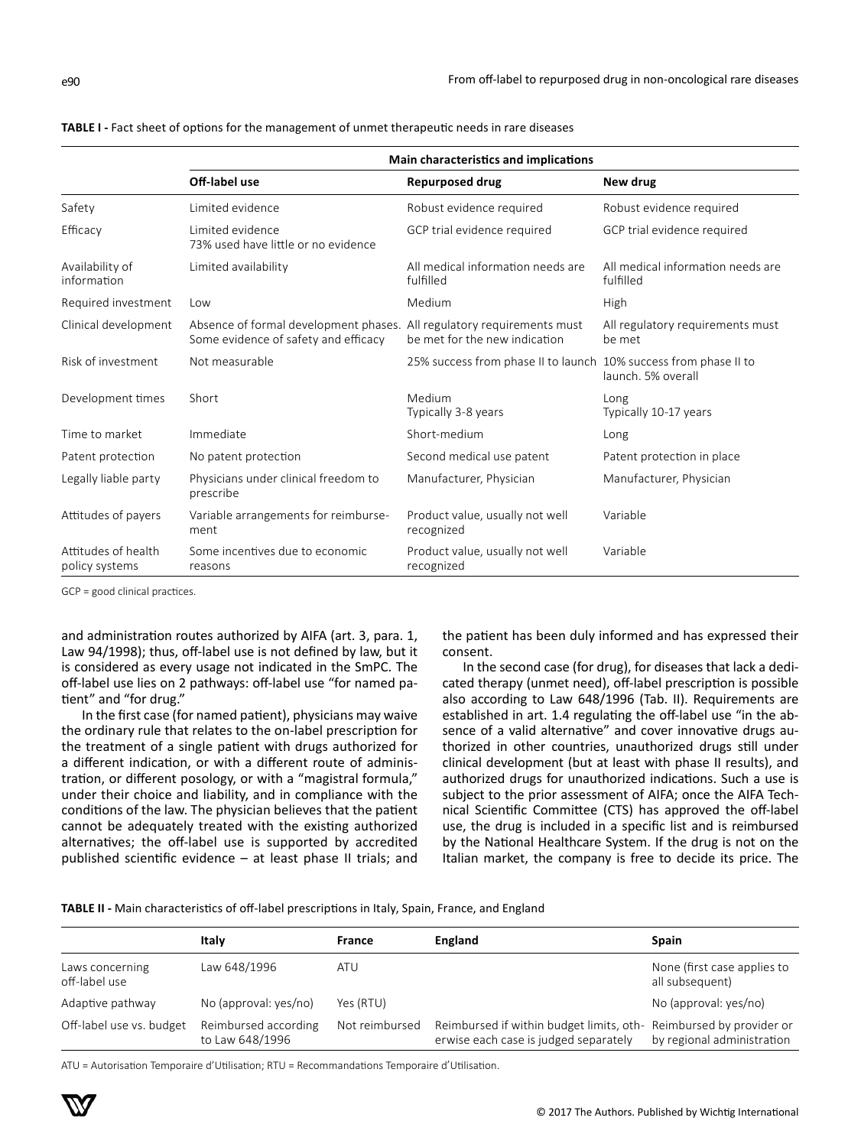|                                                                                                       | Main characteristics and implications                   |                                                                   |                                                |  |  |
|-------------------------------------------------------------------------------------------------------|---------------------------------------------------------|-------------------------------------------------------------------|------------------------------------------------|--|--|
|                                                                                                       | Off-label use                                           | <b>Repurposed drug</b>                                            | New drug                                       |  |  |
| Safety                                                                                                | Limited evidence                                        | Robust evidence required                                          | Robust evidence required                       |  |  |
| Efficacy                                                                                              | Limited evidence<br>73% used have little or no evidence | GCP trial evidence required                                       | GCP trial evidence required                    |  |  |
| Availability of<br>information                                                                        | Limited availability                                    | All medical information needs are<br>fulfilled                    | All medical information needs are<br>fulfilled |  |  |
| Required investment                                                                                   | Low                                                     | Medium                                                            | <b>High</b>                                    |  |  |
| Clinical development<br>Absence of formal development phases.<br>Some evidence of safety and efficacy |                                                         | All regulatory requirements must<br>be met for the new indication | All regulatory requirements must<br>be met     |  |  |
| Risk of investment                                                                                    | Not measurable                                          | 25% success from phase II to launch 10% success from phase II to  | launch. 5% overall                             |  |  |
| Development times                                                                                     | Short                                                   | Medium<br>Typically 3-8 years                                     | Long<br>Typically 10-17 years                  |  |  |
| Time to market                                                                                        | Immediate                                               | Short-medium                                                      | Long                                           |  |  |
| Patent protection                                                                                     | No patent protection                                    | Second medical use patent                                         | Patent protection in place                     |  |  |

|  | <b>TABLE I</b> - Fact sheet of options for the management of unmet therapeutic needs in rare diseases |  |  |
|--|-------------------------------------------------------------------------------------------------------|--|--|
|--|-------------------------------------------------------------------------------------------------------|--|--|

GCP = good clinical practices.

Attitudes of health policy systems

and administration routes authorized by AIFA (art. 3, para. 1, Law 94/1998); thus, off-label use is not defined by law, but it is considered as every usage not indicated in the SmPC. The off-label use lies on 2 pathways: off-label use "for named patient" and "for drug."

Legally liable party Physicians under clinical freedom to prescribe

Attitudes of payers Variable arrangements for reimbursement

reasons

Some incentives due to economic

In the first case (for named patient), physicians may waive the ordinary rule that relates to the on-label prescription for the treatment of a single patient with drugs authorized for a different indication, or with a different route of administration, or different posology, or with a "magistral formula," under their choice and liability, and in compliance with the conditions of the law. The physician believes that the patient cannot be adequately treated with the existing authorized alternatives; the off-label use is supported by accredited published scientific evidence – at least phase II trials; and the patient has been duly informed and has expressed their consent.

Variable

Variable

Manufacturer, Physician Manufacturer, Physician

Product value, usually not well

Product value, usually not well

recognized

recognized

In the second case (for drug), for diseases that lack a dedicated therapy (unmet need), off-label prescription is possible also according to Law 648/1996 (Tab. II). Requirements are established in art. 1.4 regulating the off-label use "in the absence of a valid alternative" and cover innovative drugs authorized in other countries, unauthorized drugs still under clinical development (but at least with phase II results), and authorized drugs for unauthorized indications. Such a use is subject to the prior assessment of AIFA; once the AIFA Technical Scientific Committee (CTS) has approved the off-label use, the drug is included in a specific list and is reimbursed by the National Healthcare System. If the drug is not on the Italian market, the company is free to decide its price. The

|                                  | Italy                                   | France         | England                                                                                                    | Spain                                          |
|----------------------------------|-----------------------------------------|----------------|------------------------------------------------------------------------------------------------------------|------------------------------------------------|
| Laws concerning<br>off-label use | Law 648/1996                            | ATU            |                                                                                                            | None (first case applies to<br>all subsequent) |
| Adaptive pathway                 | No (approval: yes/no)                   | Yes (RTU)      |                                                                                                            | No (approval: yes/no)                          |
| Off-label use vs. budget         | Reimbursed according<br>to Law 648/1996 | Not reimbursed | Reimbursed if within budget limits, oth-Reimbursed by provider or<br>erwise each case is judged separately | by regional administration                     |

ATU = Autorisation Temporaire d'Utilisation; RTU = Recommandations Temporaire d'Utilisation.

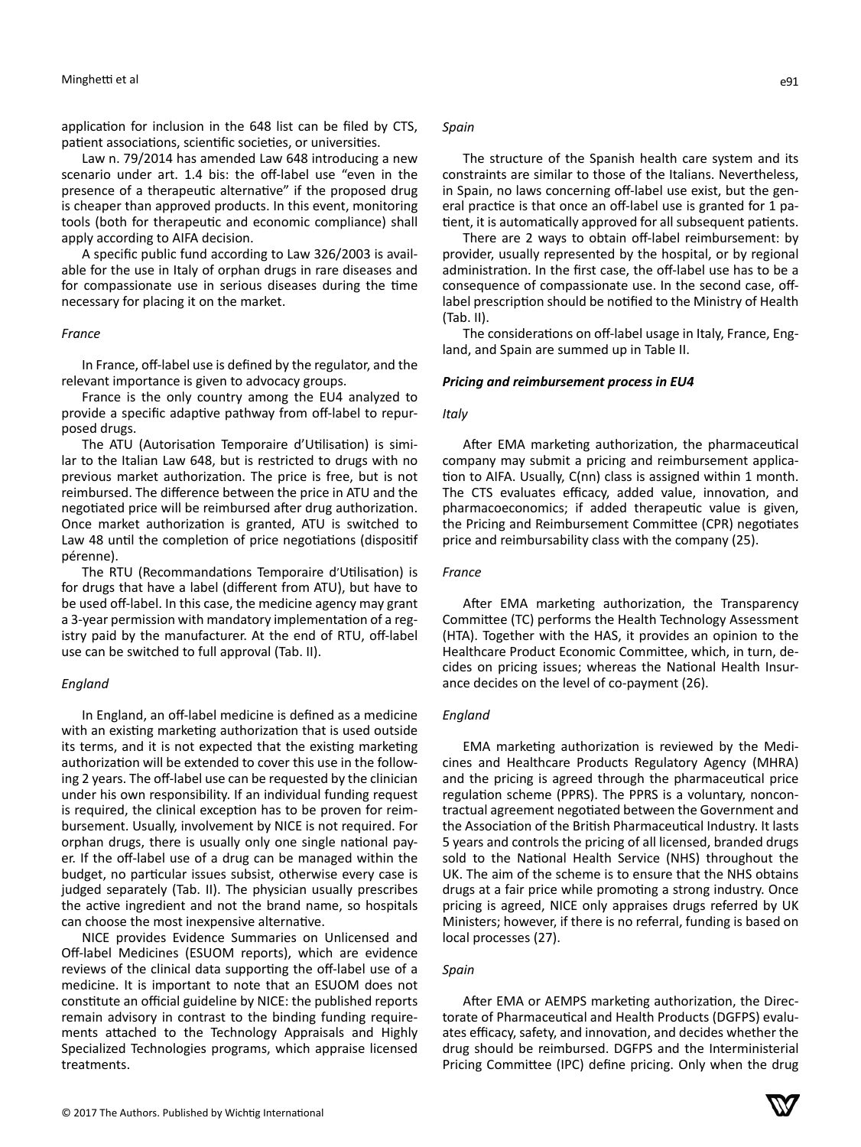application for inclusion in the 648 list can be filed by CTS, patient associations, scientific societies, or universities.

Law n. 79/2014 has amended Law 648 introducing a new scenario under art. 1.4 bis: the off-label use "even in the presence of a therapeutic alternative" if the proposed drug is cheaper than approved products. In this event, monitoring tools (both for therapeutic and economic compliance) shall apply according to AIFA decision.

A specific public fund according to Law 326/2003 is available for the use in Italy of orphan drugs in rare diseases and for compassionate use in serious diseases during the time necessary for placing it on the market.

#### *France*

In France, off-label use is defined by the regulator, and the relevant importance is given to advocacy groups.

France is the only country among the EU4 analyzed to provide a specific adaptive pathway from off-label to repurposed drugs.

The ATU (Autorisation Temporaire d'Utilisation) is similar to the Italian Law 648, but is restricted to drugs with no previous market authorization. The price is free, but is not reimbursed. The difference between the price in ATU and the negotiated price will be reimbursed after drug authorization. Once market authorization is granted, ATU is switched to Law 48 until the completion of price negotiations (dispositif pérenne).

The RTU (Recommandations Temporaire d'Utilisation) is for drugs that have a label (different from ATU), but have to be used off-label. In this case, the medicine agency may grant a 3-year permission with mandatory implementation of a registry paid by the manufacturer. At the end of RTU, off-label use can be switched to full approval (Tab. II).

#### *England*

In England, an off-label medicine is defined as a medicine with an existing marketing authorization that is used outside its terms, and it is not expected that the existing marketing authorization will be extended to cover this use in the following 2 years. The off-label use can be requested by the clinician under his own responsibility. If an individual funding request is required, the clinical exception has to be proven for reimbursement. Usually, involvement by NICE is not required. For orphan drugs, there is usually only one single national payer. If the off-label use of a drug can be managed within the budget, no particular issues subsist, otherwise every case is judged separately (Tab. II). The physician usually prescribes the active ingredient and not the brand name, so hospitals can choose the most inexpensive alternative.

NICE provides Evidence Summaries on Unlicensed and Off-label Medicines (ESUOM reports), which are evidence reviews of the clinical data supporting the off-label use of a medicine. It is important to note that an ESUOM does not constitute an official guideline by NICE: the published reports remain advisory in contrast to the binding funding requirements attached to the Technology Appraisals and Highly Specialized Technologies programs, which appraise licensed treatments.

#### *Spain*

The structure of the Spanish health care system and its constraints are similar to those of the Italians. Nevertheless, in Spain, no laws concerning off-label use exist, but the general practice is that once an off-label use is granted for 1 patient, it is automatically approved for all subsequent patients.

There are 2 ways to obtain off-label reimbursement: by provider, usually represented by the hospital, or by regional administration. In the first case, the off-label use has to be a consequence of compassionate use. In the second case, offlabel prescription should be notified to the Ministry of Health (Tab. II).

The considerations on off-label usage in Italy, France, England, and Spain are summed up in Table II.

#### *Pricing and reimbursement process in EU4*

#### *Italy*

After EMA marketing authorization, the pharmaceutical company may submit a pricing and reimbursement application to AIFA. Usually, C(nn) class is assigned within 1 month. The CTS evaluates efficacy, added value, innovation, and pharmacoeconomics; if added therapeutic value is given, the Pricing and Reimbursement Committee (CPR) negotiates price and reimbursability class with the company (25).

### *France*

After EMA marketing authorization, the Transparency Committee (TC) performs the Health Technology Assessment (HTA). Together with the HAS, it provides an opinion to the Healthcare Product Economic Committee, which, in turn, decides on pricing issues; whereas the National Health Insurance decides on the level of co-payment (26).

#### *England*

EMA marketing authorization is reviewed by the Medicines and Healthcare Products Regulatory Agency (MHRA) and the pricing is agreed through the pharmaceutical price regulation scheme (PPRS). The PPRS is a voluntary, noncontractual agreement negotiated between the Government and the Association of the British Pharmaceutical Industry. It lasts 5 years and controls the pricing of all licensed, branded drugs sold to the National Health Service (NHS) throughout the UK. The aim of the scheme is to ensure that the NHS obtains drugs at a fair price while promoting a strong industry. Once pricing is agreed, NICE only appraises drugs referred by UK Ministers; however, if there is no referral, funding is based on local processes (27).

# *Spain*

After EMA or AEMPS marketing authorization, the Directorate of Pharmaceutical and Health Products (DGFPS) evaluates efficacy, safety, and innovation, and decides whether the drug should be reimbursed. DGFPS and the Interministerial Pricing Committee (IPC) define pricing. Only when the drug

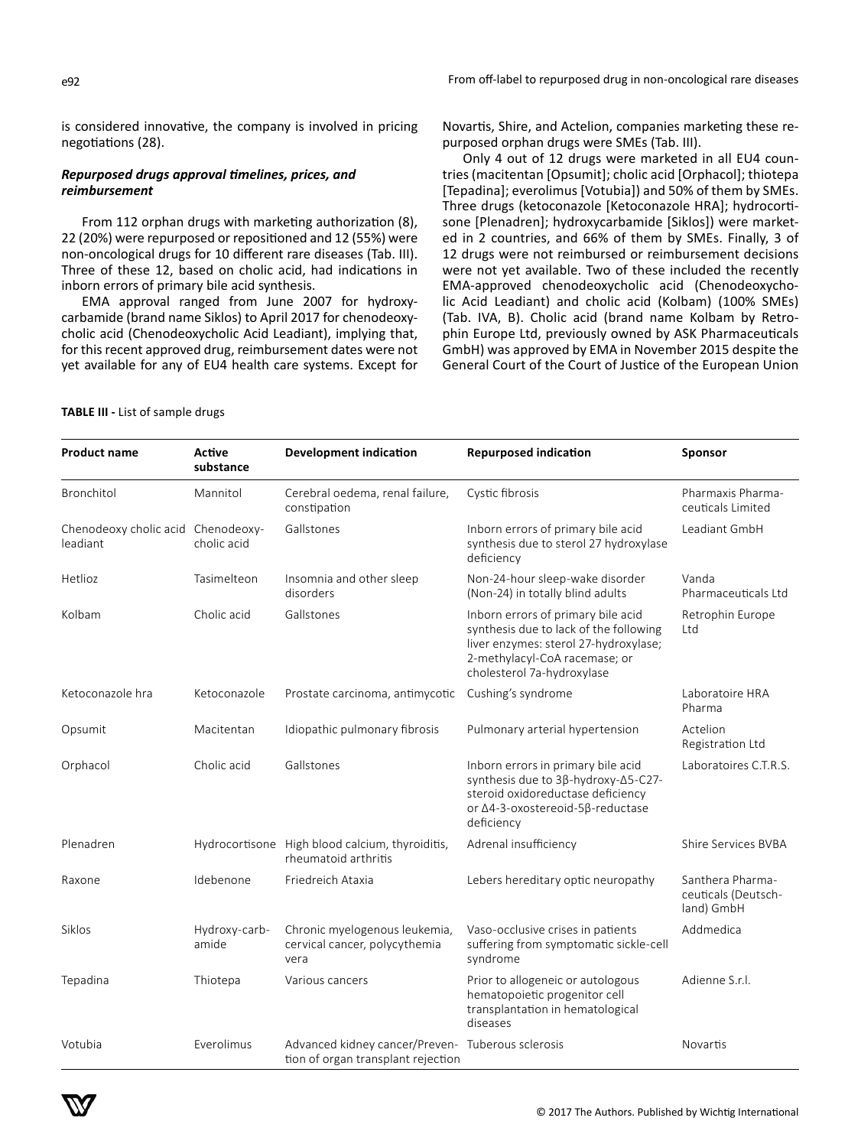is considered innovative, the company is involved in pricing negotiations (28).

# *Repurposed drugs approval timelines, prices, and reimbursement*

From 112 orphan drugs with marketing authorization (8), 22 (20%) were repurposed or repositioned and 12 (55%) were non-oncological drugs for 10 different rare diseases (Tab. III). Three of these 12, based on cholic acid, had indications in inborn errors of primary bile acid synthesis.

EMA approval ranged from June 2007 for hydroxycarbamide (brand name Siklos) to April 2017 for chenodeoxycholic acid (Chenodeoxycholic Acid Leadiant), implying that, for this recent approved drug, reimbursement dates were not yet available for any of EU4 health care systems. Except for Novartis, Shire, and Actelion, companies marketing these repurposed orphan drugs were SMEs (Tab. III).

Only 4 out of 12 drugs were marketed in all EU4 countries (macitentan [Opsumit]; cholic acid [Orphacol]; thiotepa [Tepadina]; everolimus [Votubia]) and 50% of them by SMEs. Three drugs (ketoconazole [Ketoconazole HRA]; hydrocortisone [Plenadren]; hydroxycarbamide [Siklos]) were marketed in 2 countries, and 66% of them by SMEs. Finally, 3 of 12 drugs were not reimbursed or reimbursement decisions were not yet available. Two of these included the recently EMA-approved chenodeoxycholic acid (Chenodeoxycholic Acid Leadiant) and cholic acid (Kolbam) (100% SMEs) (Tab. IVA, B). Cholic acid (brand name Kolbam by Retrophin Europe Ltd, previously owned by ASK Pharmaceuticals GmbH) was approved by EMA in November 2015 despite the General Court of the Court of Justice of the European Union

# **TABLE III -** List of sample drugs

| <b>Product name</b>                            | Active<br><b>Development indication</b><br>substance |                                                                                         | <b>Repurposed indication</b>                                                                                                                                                         | Sponsor                                               |
|------------------------------------------------|------------------------------------------------------|-----------------------------------------------------------------------------------------|--------------------------------------------------------------------------------------------------------------------------------------------------------------------------------------|-------------------------------------------------------|
| Bronchitol                                     | Mannitol                                             | Cerebral oedema, renal failure,<br>constipation                                         | Cystic fibrosis                                                                                                                                                                      | Pharmaxis Pharma-<br>ceuticals Limited                |
| Chenodeoxy cholic acid Chenodeoxy-<br>leadiant | cholic acid                                          | Gallstones                                                                              | Inborn errors of primary bile acid<br>synthesis due to sterol 27 hydroxylase<br>deficiency                                                                                           | Leadiant GmbH                                         |
| Hetlioz                                        | Tasimelteon                                          | Insomnia and other sleep<br>disorders                                                   | Non-24-hour sleep-wake disorder<br>(Non-24) in totally blind adults                                                                                                                  | Vanda<br>Pharmaceuticals Ltd                          |
| Kolbam                                         | Cholic acid                                          | Gallstones                                                                              | Inborn errors of primary bile acid<br>synthesis due to lack of the following<br>liver enzymes: sterol 27-hydroxylase;<br>2-methylacyl-CoA racemase; or<br>cholesterol 7a-hydroxylase | Retrophin Europe<br>Ltd                               |
| Ketoconazole hra                               | Ketoconazole                                         | Prostate carcinoma, antimycotic                                                         | Cushing's syndrome                                                                                                                                                                   | Laboratoire HRA<br>Pharma                             |
| Opsumit                                        | Macitentan                                           | Idiopathic pulmonary fibrosis                                                           | Pulmonary arterial hypertension                                                                                                                                                      | Actelion<br>Registration Ltd                          |
| Orphacol                                       | Cholic acid                                          | Gallstones                                                                              | Inborn errors in primary bile acid<br>synthesis due to 3β-hydroxy-Δ5-C27-<br>steroid oxidoreductase deficiency<br>or Δ4-3-oxostereoid-5β-reductase<br>deficiency                     | Laboratoires C.T.R.S.                                 |
| Plenadren                                      |                                                      | Hydrocortisone High blood calcium, thyroiditis,<br>rheumatoid arthritis                 | Adrenal insufficiency                                                                                                                                                                | Shire Services BVBA                                   |
| Raxone                                         | Idebenone                                            | Friedreich Ataxia                                                                       | Lebers hereditary optic neuropathy                                                                                                                                                   | Santhera Pharma-<br>ceuticals (Deutsch-<br>land) GmbH |
| Siklos                                         | Hydroxy-carb-<br>amide                               | Chronic myelogenous leukemia,<br>cervical cancer, polycythemia<br>vera                  | Vaso-occlusive crises in patients<br>suffering from symptomatic sickle-cell<br>syndrome                                                                                              | Addmedica                                             |
| Tepadina                                       | Thiotepa                                             | Various cancers                                                                         | Prior to allogeneic or autologous<br>hematopoietic progenitor cell<br>transplantation in hematological<br>diseases                                                                   | Adienne S.r.l.                                        |
| Votubia                                        | Everolimus                                           | Advanced kidney cancer/Preven- Tuberous sclerosis<br>tion of organ transplant rejection |                                                                                                                                                                                      | Novartis                                              |

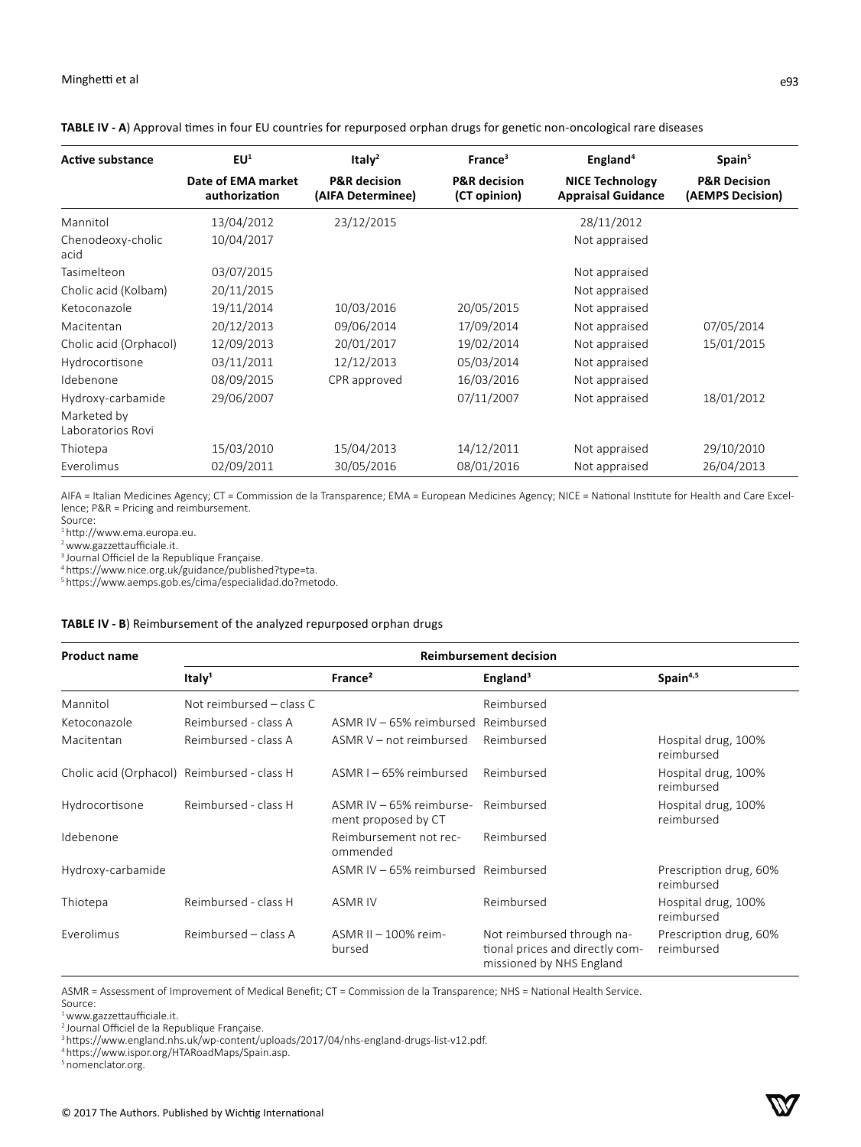| <b>Active substance</b>          | EU <sup>1</sup>                     | Italy <sup>2</sup>                           | France <sup>3</sup>                     | England <sup>4</sup>                                | Spain <sup>5</sup>                          |
|----------------------------------|-------------------------------------|----------------------------------------------|-----------------------------------------|-----------------------------------------------------|---------------------------------------------|
|                                  | Date of EMA market<br>authorization | <b>P&amp;R</b> decision<br>(AIFA Determinee) | <b>P&amp;R</b> decision<br>(CT opinion) | <b>NICE Technology</b><br><b>Appraisal Guidance</b> | <b>P&amp;R Decision</b><br>(AEMPS Decision) |
| Mannitol                         | 13/04/2012                          | 23/12/2015                                   |                                         | 28/11/2012                                          |                                             |
| Chenodeoxy-cholic<br>acid        | 10/04/2017                          |                                              |                                         | Not appraised                                       |                                             |
| Tasimelteon                      | 03/07/2015                          |                                              |                                         | Not appraised                                       |                                             |
| Cholic acid (Kolbam)             | 20/11/2015                          |                                              |                                         | Not appraised                                       |                                             |
| Ketoconazole                     | 19/11/2014                          | 10/03/2016                                   | 20/05/2015                              | Not appraised                                       |                                             |
| Macitentan                       | 20/12/2013                          | 09/06/2014                                   | 17/09/2014                              | Not appraised                                       | 07/05/2014                                  |
| Cholic acid (Orphacol)           | 12/09/2013                          | 20/01/2017                                   | 19/02/2014                              | Not appraised                                       | 15/01/2015                                  |
| Hydrocortisone                   | 03/11/2011                          | 12/12/2013                                   | 05/03/2014                              | Not appraised                                       |                                             |
| Idebenone                        | 08/09/2015                          | CPR approved                                 | 16/03/2016                              | Not appraised                                       |                                             |
| Hydroxy-carbamide                | 29/06/2007                          |                                              | 07/11/2007                              | Not appraised                                       | 18/01/2012                                  |
| Marketed by<br>Laboratorios Rovi |                                     |                                              |                                         |                                                     |                                             |
| Thiotepa                         | 15/03/2010                          | 15/04/2013                                   | 14/12/2011                              | Not appraised                                       | 29/10/2010                                  |
| Everolimus                       | 02/09/2011                          | 30/05/2016                                   | 08/01/2016                              | Not appraised                                       | 26/04/2013                                  |

**TABLE IV - A**) Approval times in four EU countries for repurposed orphan drugs for genetic non-oncological rare diseases

AIFA = Italian Medicines Agency; CT = Commission de la Transparence; EMA = European Medicines Agency; NICE = National Institute for Health and Care Excellence; P&R = Pricing and reimbursement.

Source:

<sup>1</sup>http://www.ema.europa.eu.

<sup>2</sup>www.gazzettaufficiale.it.

<sup>3</sup> Journal Officiel de la Republique Française.

<sup>4</sup>https://www.nice.org.uk/guidance/published?type=ta.

<sup>5</sup>https://www.aemps.gob.es/cima/especialidad.do?metodo.

# **TABLE IV - B**) Reimbursement of the analyzed repurposed orphan drugs

| <b>Product name</b>                         | <b>Reimbursement decision</b> |                                                  |                                                                                           |                                      |  |  |
|---------------------------------------------|-------------------------------|--------------------------------------------------|-------------------------------------------------------------------------------------------|--------------------------------------|--|--|
|                                             | Italy <sup>1</sup>            | France <sup>2</sup>                              | England <sup>3</sup>                                                                      | Spain <sup>4,5</sup>                 |  |  |
| Mannitol                                    | Not reimbursed – class C      |                                                  | Reimbursed                                                                                |                                      |  |  |
| Ketoconazole                                | Reimbursed - class A          | ASMR IV – 65% reimbursed                         | Reimbursed                                                                                |                                      |  |  |
| Macitentan                                  | Reimbursed - class A          | ASMR V – not reimbursed                          | Reimbursed                                                                                | Hospital drug, 100%<br>reimbursed    |  |  |
| Cholic acid (Orphacol) Reimbursed - class H |                               | ASMR I-65% reimbursed                            | Reimbursed                                                                                | Hospital drug, 100%<br>reimbursed    |  |  |
| Hydrocortisone                              | Reimbursed - class H          | ASMR IV $-65%$ reimburse-<br>ment proposed by CT | Reimbursed                                                                                | Hospital drug, 100%<br>reimbursed    |  |  |
| Idebenone                                   |                               | Reimbursement not rec-<br>ommended               | Reimbursed                                                                                |                                      |  |  |
| Hydroxy-carbamide                           |                               | ASMR IV - 65% reimbursed Reimbursed              |                                                                                           | Prescription drug, 60%<br>reimbursed |  |  |
| Thiotepa                                    | Reimbursed - class H          | <b>ASMR IV</b>                                   | Reimbursed                                                                                | Hospital drug, 100%<br>reimbursed    |  |  |
| Everolimus                                  | Reimbursed - class A          | $ASMR II - 100\%$ reim-<br>bursed                | Not reimbursed through na-<br>tional prices and directly com-<br>missioned by NHS England | Prescription drug, 60%<br>reimbursed |  |  |

ASMR = Assessment of Improvement of Medical Benefit; CT = Commission de la Transparence; NHS = National Health Service. Source:

<sup>1</sup>www.gazzettaufficiale.it.

<sup>2</sup> Journal Officiel de la Republique Française.

<sup>3</sup>https://www.england.nhs.uk/wp-content/uploads/2017/04/nhs-england-drugs-list-v12.pdf.

<sup>4</sup>https://www.ispor.org/HTARoadMaps/Spain.asp.

5nomenclator.org.

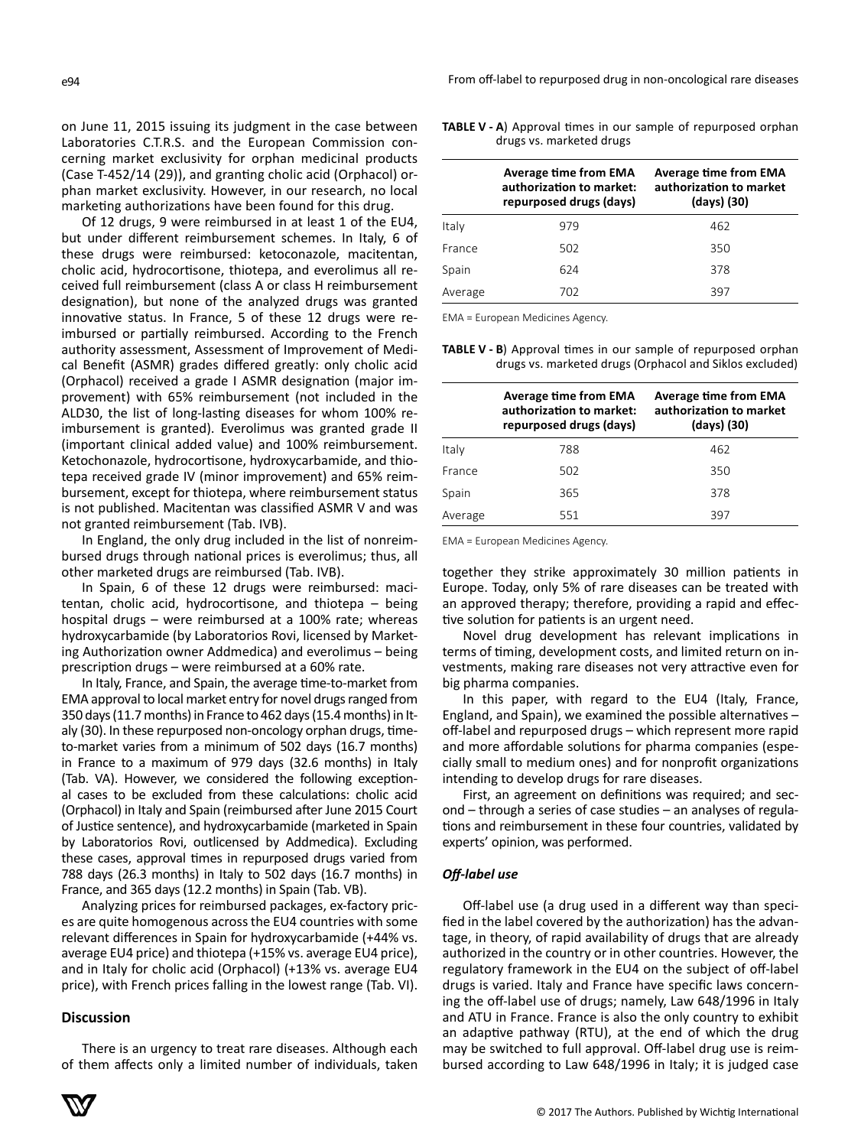on June 11, 2015 issuing its judgment in the case between Laboratories C.T.R.S. and the European Commission concerning market exclusivity for orphan medicinal products (Case T-452/14 (29)), and granting cholic acid (Orphacol) orphan market exclusivity. However, in our research, no local marketing authorizations have been found for this drug.

Of 12 drugs, 9 were reimbursed in at least 1 of the EU4, but under different reimbursement schemes. In Italy, 6 of these drugs were reimbursed: ketoconazole, macitentan, cholic acid, hydrocortisone, thiotepa, and everolimus all received full reimbursement (class A or class H reimbursement designation), but none of the analyzed drugs was granted innovative status. In France, 5 of these 12 drugs were reimbursed or partially reimbursed. According to the French authority assessment, Assessment of Improvement of Medical Benefit (ASMR) grades differed greatly: only cholic acid (Orphacol) received a grade I ASMR designation (major improvement) with 65% reimbursement (not included in the ALD30, the list of long-lasting diseases for whom 100% reimbursement is granted). Everolimus was granted grade II (important clinical added value) and 100% reimbursement. Ketochonazole, hydrocortisone, hydroxycarbamide, and thiotepa received grade IV (minor improvement) and 65% reimbursement, except for thiotepa, where reimbursement status is not published. Macitentan was classified ASMR V and was not granted reimbursement (Tab. IVB).

In England, the only drug included in the list of nonreimbursed drugs through national prices is everolimus; thus, all other marketed drugs are reimbursed (Tab. IVB).

In Spain, 6 of these 12 drugs were reimbursed: macitentan, cholic acid, hydrocortisone, and thiotepa – being hospital drugs – were reimbursed at a 100% rate; whereas hydroxycarbamide (by Laboratorios Rovi, licensed by Marketing Authorization owner Addmedica) and everolimus – being prescription drugs – were reimbursed at a 60% rate.

In Italy, France, and Spain, the average time-to-market from EMA approval to local market entry for novel drugs ranged from 350 days (11.7 months) in France to 462 days (15.4 months) in Italy (30). In these repurposed non-oncology orphan drugs, timeto-market varies from a minimum of 502 days (16.7 months) in France to a maximum of 979 days (32.6 months) in Italy (Tab. VA). However, we considered the following exceptional cases to be excluded from these calculations: cholic acid (Orphacol) in Italy and Spain (reimbursed after June 2015 Court of Justice sentence), and hydroxycarbamide (marketed in Spain by Laboratorios Rovi, outlicensed by Addmedica). Excluding these cases, approval times in repurposed drugs varied from 788 days (26.3 months) in Italy to 502 days (16.7 months) in France, and 365 days (12.2 months) in Spain (Tab. VB).

Analyzing prices for reimbursed packages, ex-factory prices are quite homogenous across the EU4 countries with some relevant differences in Spain for hydroxycarbamide (+44% vs. average EU4 price) and thiotepa (+15% vs. average EU4 price), and in Italy for cholic acid (Orphacol) (+13% vs. average EU4 price), with French prices falling in the lowest range (Tab. VI).

# **Discussion**

There is an urgency to treat rare diseases. Although each of them affects only a limited number of individuals, taken

**TABLE V - A**) Approval times in our sample of repurposed orphan drugs vs. marketed drugs

|         | Average time from EMA<br>authorization to market:<br>repurposed drugs (days) | <b>Average time from EMA</b><br>authorization to market<br>(days) (30) |
|---------|------------------------------------------------------------------------------|------------------------------------------------------------------------|
| Italy   | 979                                                                          | 462                                                                    |
| France  | 502                                                                          | 350                                                                    |
| Spain   | 624                                                                          | 378                                                                    |
| Average | 702                                                                          | 397                                                                    |

EMA = European Medicines Agency.

**TABLE V - B**) Approval times in our sample of repurposed orphan drugs vs. marketed drugs (Orphacol and Siklos excluded)

|         | Average time from EMA<br>authorization to market:<br>repurposed drugs (days) | <b>Average time from EMA</b><br>authorization to market<br>(days) (30) |  |  |
|---------|------------------------------------------------------------------------------|------------------------------------------------------------------------|--|--|
| Italy   | 788                                                                          | 462                                                                    |  |  |
| France  | 502                                                                          | 350                                                                    |  |  |
| Spain   | 365                                                                          | 378                                                                    |  |  |
| Average | 551                                                                          | 397                                                                    |  |  |

EMA = European Medicines Agency.

together they strike approximately 30 million patients in Europe. Today, only 5% of rare diseases can be treated with an approved therapy; therefore, providing a rapid and effective solution for patients is an urgent need.

Novel drug development has relevant implications in terms of timing, development costs, and limited return on investments, making rare diseases not very attractive even for big pharma companies.

In this paper, with regard to the EU4 (Italy, France, England, and Spain), we examined the possible alternatives – off-label and repurposed drugs – which represent more rapid and more affordable solutions for pharma companies (especially small to medium ones) and for nonprofit organizations intending to develop drugs for rare diseases.

First, an agreement on definitions was required; and second – through a series of case studies – an analyses of regulations and reimbursement in these four countries, validated by experts' opinion, was performed.

#### *Off-label use*

Off-label use (a drug used in a different way than specified in the label covered by the authorization) has the advantage, in theory, of rapid availability of drugs that are already authorized in the country or in other countries. However, the regulatory framework in the EU4 on the subject of off-label drugs is varied. Italy and France have specific laws concerning the off-label use of drugs; namely, Law 648/1996 in Italy and ATU in France. France is also the only country to exhibit an adaptive pathway (RTU), at the end of which the drug may be switched to full approval. Off-label drug use is reimbursed according to Law 648/1996 in Italy; it is judged case

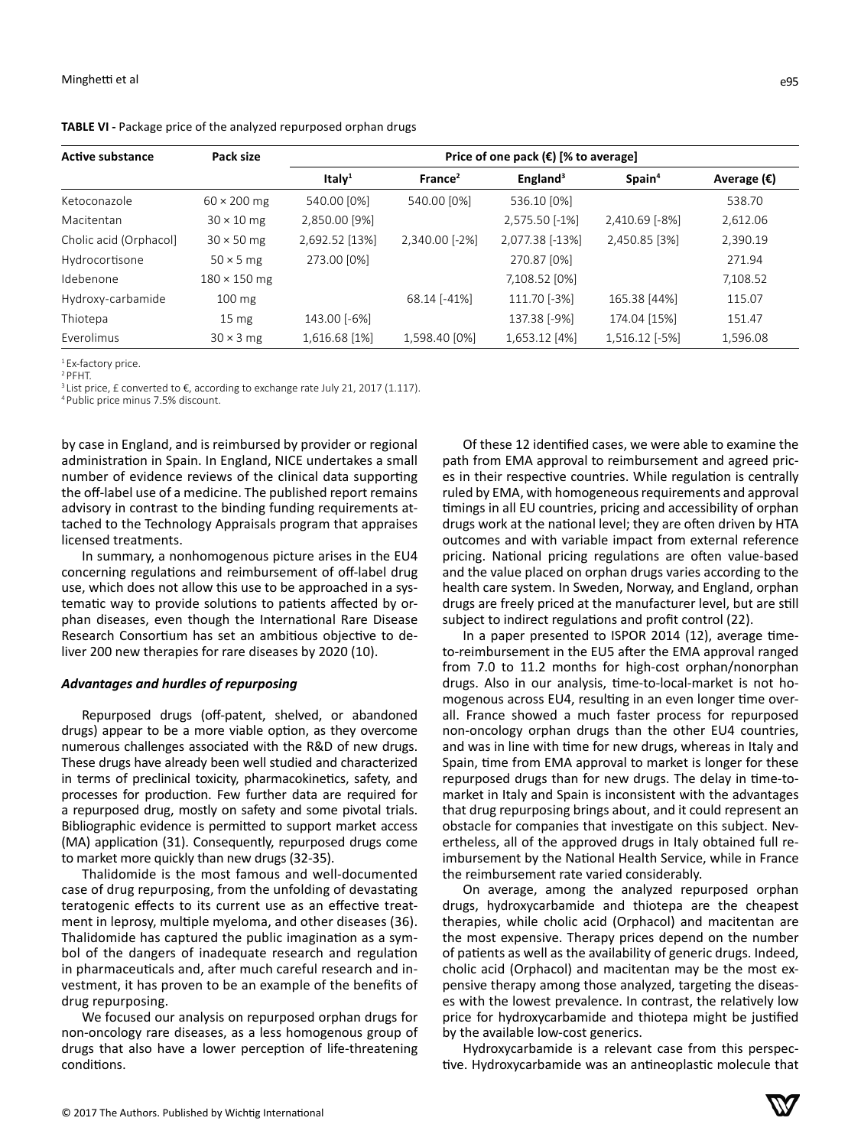| <b>Active substance</b> | Pack size           | Price of one pack $(\epsilon)$ [% to average] |                     |                      |                   |                      |
|-------------------------|---------------------|-----------------------------------------------|---------------------|----------------------|-------------------|----------------------|
|                         |                     | Ital $v1$                                     | France <sup>2</sup> | England <sup>3</sup> | Spin <sup>4</sup> | Average $(\epsilon)$ |
| Ketoconazole            | $60 \times 200$ mg  | 540.00 [0%]                                   | 540.00 [0%]         | 536.10 [0%]          |                   | 538.70               |
| Macitentan              | $30 \times 10$ mg   | 2,850.00 [9%]                                 |                     | 2,575.50 [-1%]       | 2,410.69 [-8%]    | 2,612.06             |
| Cholic acid (Orphacol)  | $30 \times 50$ mg   | 2,692.52 [13%]                                | 2,340.00 [-2%]      | 2,077.38 [-13%]      | 2,450.85 [3%]     | 2,390.19             |
| Hydrocortisone          | $50 \times 5$ mg    | 273.00 [0%]                                   |                     | 270.87 [0%]          |                   | 271.94               |
| Idebenone               | $180 \times 150$ mg |                                               |                     | 7,108.52 [0%]        |                   | 7,108.52             |
| Hydroxy-carbamide       | $100 \text{ mg}$    |                                               | 68.14 [-41%]        | 111.70 [-3%]         | 165.38 [44%]      | 115.07               |
| Thiotepa                | 15 <sub>mg</sub>    | 143.00 [-6%]                                  |                     | 137.38 [-9%]         | 174.04 [15%]      | 151.47               |
| Everolimus              | $30 \times 3$ mg    | 1,616.68 [1%]                                 | 1,598.40 [0%]       | 1,653.12 [4%]        | 1,516.12 [-5%]    | 1,596.08             |

**TABLE VI -** Package price of the analyzed repurposed orphan drugs

<sup>1</sup> Ex-factory price.

<sup>2</sup> PFHT.

<sup>3</sup> List price, £ converted to  $\epsilon$ , according to exchange rate July 21, 2017 (1.117).

4Public price minus 7.5% discount.

by case in England, and is reimbursed by provider or regional administration in Spain. In England, NICE undertakes a small number of evidence reviews of the clinical data supporting the off-label use of a medicine. The published report remains advisory in contrast to the binding funding requirements attached to the Technology Appraisals program that appraises licensed treatments.

In summary, a nonhomogenous picture arises in the EU4 concerning regulations and reimbursement of off-label drug use, which does not allow this use to be approached in a systematic way to provide solutions to patients affected by orphan diseases, even though the International Rare Disease Research Consortium has set an ambitious objective to deliver 200 new therapies for rare diseases by 2020 (10).

#### *Advantages and hurdles of repurposing*

Repurposed drugs (off-patent, shelved, or abandoned drugs) appear to be a more viable option, as they overcome numerous challenges associated with the R&D of new drugs. These drugs have already been well studied and characterized in terms of preclinical toxicity, pharmacokinetics, safety, and processes for production. Few further data are required for a repurposed drug, mostly on safety and some pivotal trials. Bibliographic evidence is permitted to support market access (MA) application (31). Consequently, repurposed drugs come to market more quickly than new drugs (32-35).

Thalidomide is the most famous and well-documented case of drug repurposing, from the unfolding of devastating teratogenic effects to its current use as an effective treatment in leprosy, multiple myeloma, and other diseases (36). Thalidomide has captured the public imagination as a symbol of the dangers of inadequate research and regulation in pharmaceuticals and, after much careful research and investment, it has proven to be an example of the benefits of drug repurposing.

We focused our analysis on repurposed orphan drugs for non-oncology rare diseases, as a less homogenous group of drugs that also have a lower perception of life-threatening conditions.

Of these 12 identified cases, we were able to examine the path from EMA approval to reimbursement and agreed prices in their respective countries. While regulation is centrally ruled by EMA, with homogeneous requirements and approval timings in all EU countries, pricing and accessibility of orphan drugs work at the national level; they are often driven by HTA outcomes and with variable impact from external reference pricing. National pricing regulations are often value-based and the value placed on orphan drugs varies according to the health care system. In Sweden, Norway, and England, orphan drugs are freely priced at the manufacturer level, but are still subject to indirect regulations and profit control (22).

In a paper presented to ISPOR 2014 (12), average timeto-reimbursement in the EU5 after the EMA approval ranged from 7.0 to 11.2 months for high-cost orphan/nonorphan drugs. Also in our analysis, time-to-local-market is not homogenous across EU4, resulting in an even longer time overall. France showed a much faster process for repurposed non-oncology orphan drugs than the other EU4 countries, and was in line with time for new drugs, whereas in Italy and Spain, time from EMA approval to market is longer for these repurposed drugs than for new drugs. The delay in time-tomarket in Italy and Spain is inconsistent with the advantages that drug repurposing brings about, and it could represent an obstacle for companies that investigate on this subject. Nevertheless, all of the approved drugs in Italy obtained full reimbursement by the National Health Service, while in France the reimbursement rate varied considerably.

On average, among the analyzed repurposed orphan drugs, hydroxycarbamide and thiotepa are the cheapest therapies, while cholic acid (Orphacol) and macitentan are the most expensive. Therapy prices depend on the number of patients as well as the availability of generic drugs. Indeed, cholic acid (Orphacol) and macitentan may be the most expensive therapy among those analyzed, targeting the diseases with the lowest prevalence. In contrast, the relatively low price for hydroxycarbamide and thiotepa might be justified by the available low-cost generics.

Hydroxycarbamide is a relevant case from this perspective. Hydroxycarbamide was an antineoplastic molecule that

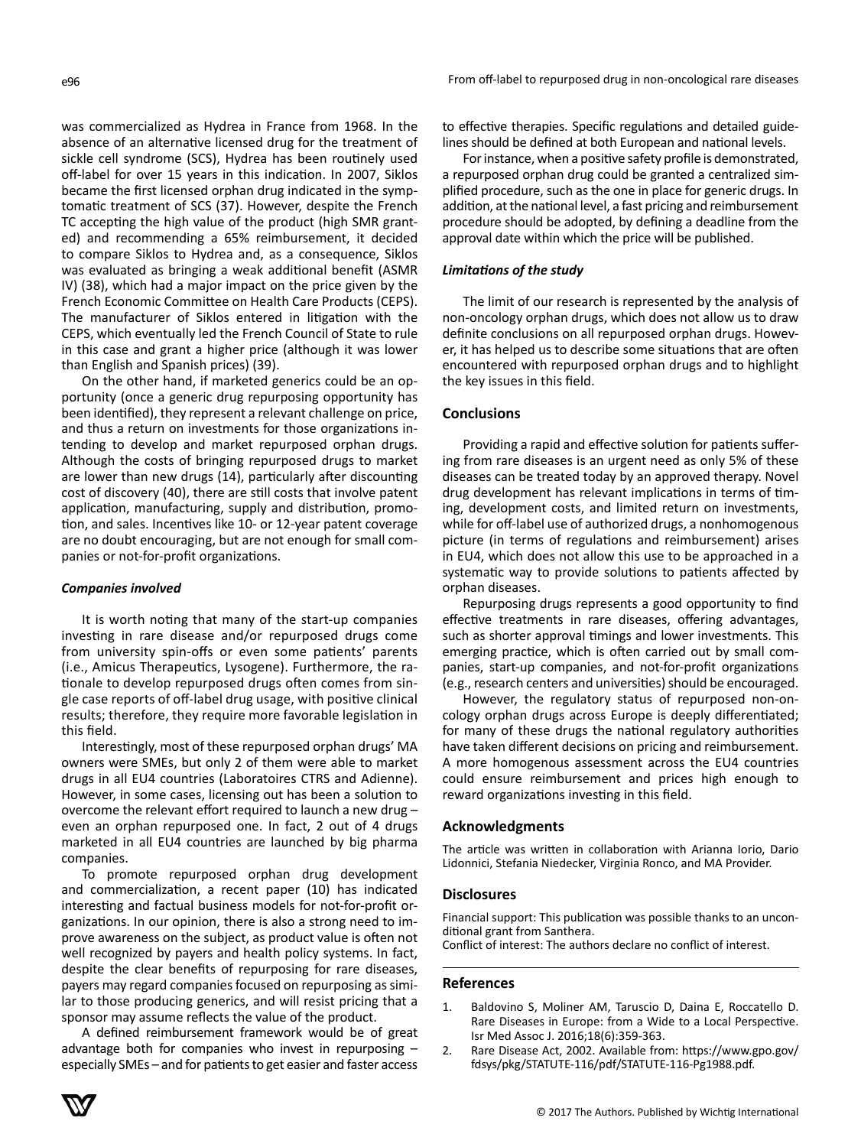was commercialized as Hydrea in France from 1968. In the absence of an alternative licensed drug for the treatment of sickle cell syndrome (SCS), Hydrea has been routinely used off-label for over 15 years in this indication. In 2007, Siklos became the first licensed orphan drug indicated in the symptomatic treatment of SCS (37). However, despite the French TC accepting the high value of the product (high SMR granted) and recommending a 65% reimbursement, it decided to compare Siklos to Hydrea and, as a consequence, Siklos was evaluated as bringing a weak additional benefit (ASMR IV) (38), which had a major impact on the price given by the French Economic Committee on Health Care Products (CEPS). The manufacturer of Siklos entered in litigation with the CEPS, which eventually led the French Council of State to rule in this case and grant a higher price (although it was lower than English and Spanish prices) (39).

On the other hand, if marketed generics could be an opportunity (once a generic drug repurposing opportunity has been identified), they represent a relevant challenge on price, and thus a return on investments for those organizations intending to develop and market repurposed orphan drugs. Although the costs of bringing repurposed drugs to market are lower than new drugs (14), particularly after discounting cost of discovery (40), there are still costs that involve patent application, manufacturing, supply and distribution, promotion, and sales. Incentives like 10- or 12-year patent coverage are no doubt encouraging, but are not enough for small companies or not-for-profit organizations.

# *Companies involved*

It is worth noting that many of the start-up companies investing in rare disease and/or repurposed drugs come from university spin-offs or even some patients' parents (i.e., Amicus Therapeutics, Lysogene). Furthermore, the rationale to develop repurposed drugs often comes from single case reports of off-label drug usage, with positive clinical results; therefore, they require more favorable legislation in this field.

Interestingly, most of these repurposed orphan drugs' MA owners were SMEs, but only 2 of them were able to market drugs in all EU4 countries (Laboratoires CTRS and Adienne). However, in some cases, licensing out has been a solution to overcome the relevant effort required to launch a new drug – even an orphan repurposed one. In fact, 2 out of 4 drugs marketed in all EU4 countries are launched by big pharma companies.

To promote repurposed orphan drug development and commercialization, a recent paper (10) has indicated interesting and factual business models for not-for-profit organizations. In our opinion, there is also a strong need to improve awareness on the subject, as product value is often not well recognized by payers and health policy systems. In fact, despite the clear benefits of repurposing for rare diseases, payers may regard companies focused on repurposing as similar to those producing generics, and will resist pricing that a sponsor may assume reflects the value of the product.

A defined reimbursement framework would be of great advantage both for companies who invest in repurposing – especially SMEs – and for patients to get easier and faster access to effective therapies. Specific regulations and detailed guidelines should be defined at both European and national levels.

For instance, when a positive safety profile is demonstrated, a repurposed orphan drug could be granted a centralized simplified procedure, such as the one in place for generic drugs. In addition, at the national level, a fast pricing and reimbursement procedure should be adopted, by defining a deadline from the approval date within which the price will be published.

### *Limitations of the study*

The limit of our research is represented by the analysis of non-oncology orphan drugs, which does not allow us to draw definite conclusions on all repurposed orphan drugs. However, it has helped us to describe some situations that are often encountered with repurposed orphan drugs and to highlight the key issues in this field.

# **Conclusions**

Providing a rapid and effective solution for patients suffering from rare diseases is an urgent need as only 5% of these diseases can be treated today by an approved therapy. Novel drug development has relevant implications in terms of timing, development costs, and limited return on investments, while for off-label use of authorized drugs, a nonhomogenous picture (in terms of regulations and reimbursement) arises in EU4, which does not allow this use to be approached in a systematic way to provide solutions to patients affected by orphan diseases.

Repurposing drugs represents a good opportunity to find effective treatments in rare diseases, offering advantages, such as shorter approval timings and lower investments. This emerging practice, which is often carried out by small companies, start-up companies, and not-for-profit organizations (e.g., research centers and universities) should be encouraged.

However, the regulatory status of repurposed non-oncology orphan drugs across Europe is deeply differentiated; for many of these drugs the national regulatory authorities have taken different decisions on pricing and reimbursement. A more homogenous assessment across the EU4 countries could ensure reimbursement and prices high enough to reward organizations investing in this field.

# **Acknowledgments**

The article was written in collaboration with Arianna Iorio, Dario Lidonnici, Stefania Niedecker, Virginia Ronco, and MA Provider.

#### **Disclosures**

Financial support: This publication was possible thanks to an unconditional grant from Santhera.

Conflict of interest: The authors declare no conflict of interest.

#### **References**

- 1. Baldovino S, Moliner AM, Taruscio D, Daina E, Roccatello D. Rare Diseases in Europe: from a Wide to a Local Perspective. Isr Med Assoc J. 2016;18(6):359-363.
- 2. Rare Disease Act, 2002. Available from: https://www.gpo.gov/ fdsys/pkg/STATUTE-116/pdf/STATUTE-116-Pg1988.pdf.